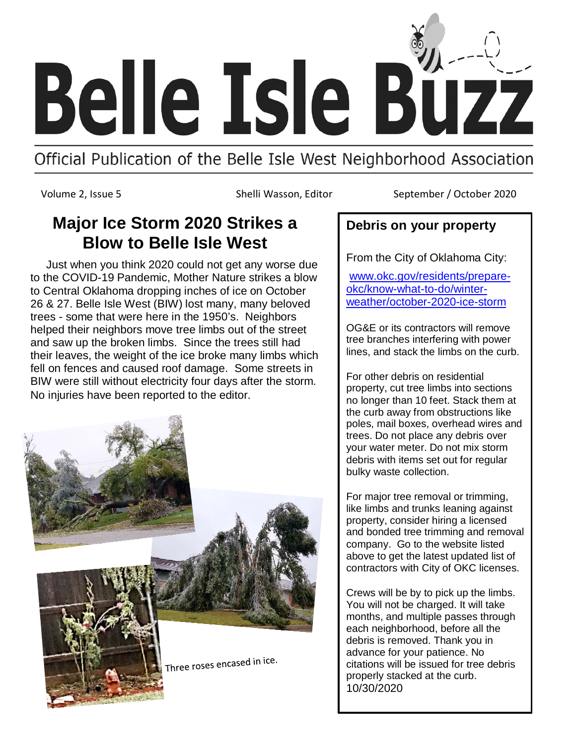

## Official Publication of the Belle Isle West Neighborhood Association

Volume 2, Issue 5 Shelli Wasson, Editor September / October 2020

## **Major Ice Storm 2020 Strikes a Blow to Belle Isle West**

 Just when you think 2020 could not get any worse due to the COVID-19 Pandemic, Mother Nature strikes a blow to Central Oklahoma dropping inches of ice on October 26 & 27. Belle Isle West (BIW) lost many, many beloved trees - some that were here in the 1950's. Neighbors helped their neighbors move tree limbs out of the street and saw up the broken limbs. Since the trees still had their leaves, the weight of the ice broke many limbs which fell on fences and caused roof damage. Some streets in BIW were still without electricity four days after the storm. No injuries have been reported to the editor.



## **Debris on your property**

From the City of Oklahoma City:

[www.okc.gov/residents/prepare](http://www.okc.gov/residents/prepare-okc/know-what-to-do/winter-weather/october-2020-ice-storm)[okc/know-what-to-do/winter](http://www.okc.gov/residents/prepare-okc/know-what-to-do/winter-weather/october-2020-ice-storm)[weather/october-2020-ice-storm](http://www.okc.gov/residents/prepare-okc/know-what-to-do/winter-weather/october-2020-ice-storm)

OG&E or its contractors will remove tree branches interfering with power lines, and stack the limbs on the curb.

For other debris on residential property, cut tree limbs into sections no longer than 10 feet. Stack them at the curb away from obstructions like poles, mail boxes, overhead wires and trees. Do not place any debris over your water meter. Do not mix storm debris with items set out for regular bulky waste collection.

For major tree removal or trimming, like limbs and trunks leaning against property, consider hiring a licensed and bonded tree trimming and removal company. Go to the website listed above to get the latest updated list of contractors with City of OKC licenses.

Crews will be by to pick up the limbs. You will not be charged. It will take months, and multiple passes through each neighborhood, before all the debris is removed. Thank you in advance for your patience. No citations will be issued for tree debris properly stacked at the curb. 10/30/2020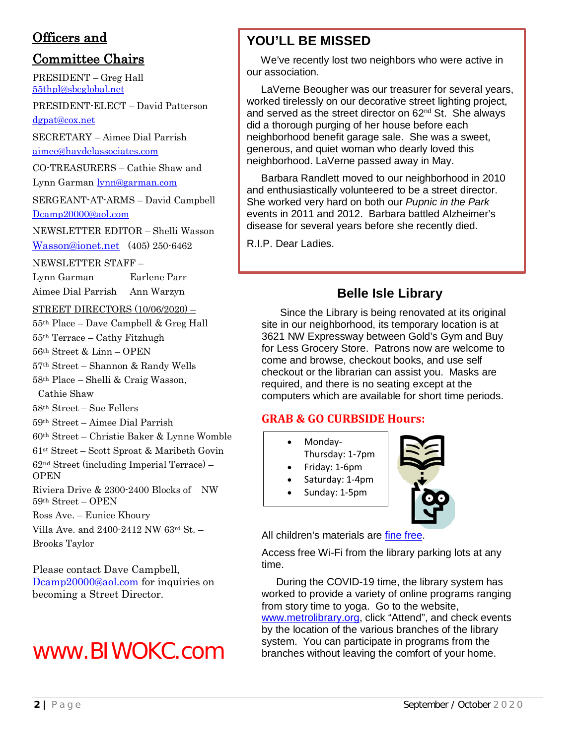## Officers and

## Committee Chairs

PRESIDENT – Greg Hall [55thpl@sbcglobal.net](mailto:55thpl@sbcglobal.net)

PRESIDENT-ELECT – David Patterson [dgpat@cox.net](mailto:dgpat@cox.net)

SECRETARY – Aimee Dial Parrish [aimee@haydelassociates.com](mailto:aimee@haydelassociates.com)

CO-TREASURERS – Cathie Shaw and Lynn Garma[n lynn@garman.com](mailto:lynn@garman.com)

SERGEANT-AT-ARMS – David Campbell [Dcamp20000@aol.com](mailto:Dcamp20000@aol.com)

NEWSLETTER EDITOR – Shelli Wasson [Wasson@ionet.net](mailto:Wasson@ionet.net) (405) 250-6462

NEWSLETTER STAFF –

Lynn Garman Earlene Parr

Aimee Dial Parrish Ann Warzyn

STREET DIRECTORS (10/06/2020) –

55th Place – Dave Campbell & Greg Hall

55th Terrace – Cathy Fitzhugh

56th Street & Linn – OPEN

57th Street – Shannon & Randy Wells

58th Place – Shelli & Craig Wasson, Cathie Shaw

58th Street – Sue Fellers

59th Street – Aimee Dial Parrish

60th Street – Christie Baker & Lynne Womble

61st Street – Scott Sproat & Maribeth Govin

62nd Street (including Imperial Terrace) – **OPEN** 

Riviera Drive & 2300-2400 Blocks of NW 59th Street – OPEN

Ross Ave. – Eunice Khoury

Villa Ave. and 2400-2412 NW 63rd St. – Brooks Taylor

Please contact Dave Campbell, [Dcamp20000@aol.com](mailto:Dcamp20000@aol.com) for inquiries on becoming a Street Director.

# www.BIWOKC.com

## **YOU'LL BE MISSED**

 We've recently lost two neighbors who were active in our association.

 LaVerne Beougher was our treasurer for several years, worked tirelessly on our decorative street lighting project, and served as the street director on 62<sup>nd</sup> St. She always did a thorough purging of her house before each neighborhood benefit garage sale. She was a sweet, generous, and quiet woman who dearly loved this neighborhood. LaVerne passed away in May.

 Barbara Randlett moved to our neighborhood in 2010 and enthusiastically volunteered to be a street director. She worked very hard on both our *Pupnic in the Park* events in 2011 and 2012. Barbara battled Alzheimer's disease for several years before she recently died.

R.I.P. Dear Ladies.

## **Belle Isle Library**

 Since the Library is being renovated at its original site in our neighborhood, its temporary location is at 3621 NW Expressway between Gold's Gym and Buy for Less Grocery Store. Patrons now are welcome to come and browse, checkout books, and use self checkout or the librarian can assist you. Masks are required, and there is no seating except at the computers which are available for short time periods.

### **GRAB & GO CURBSIDE Hours:**

- Monday-
- Thursday: 1-7pm
- Friday: 1-6pm
- Saturday: 1-4pm
- Sunday: 1-5pm



All children's materials are [fine free.](https://www.metrolibrary.org/blog/2020/06/metropolitan-library-system-announces-no-late-fines-childrens-materials)

Access free Wi-Fi from the library parking lots at any time.

 During the COVID-19 time, the library system has worked to provide a variety of online programs ranging from story time to yoga. Go to the website, [www.metrolibrary.org,](http://www.metrolibrary.org/) click "Attend", and check events by the location of the various branches of the library system. You can participate in programs from the branches without leaving the comfort of your home.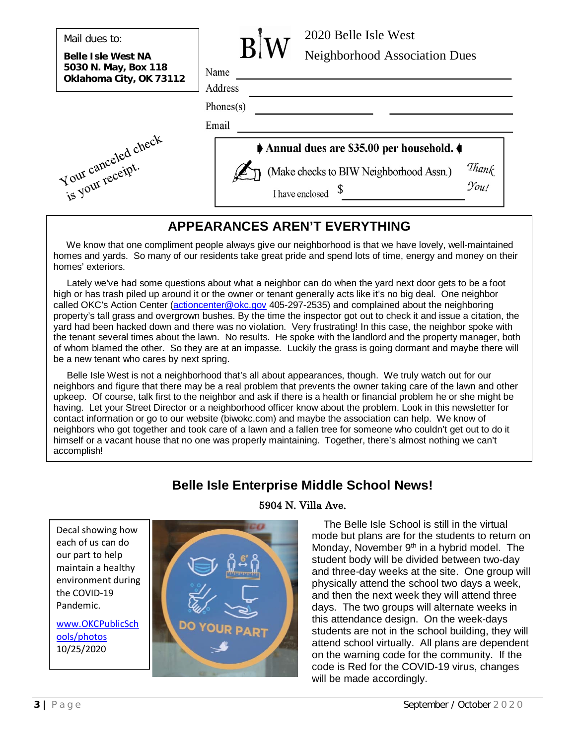|  | Mail dues to: |  |
|--|---------------|--|
|--|---------------|--|

**Belle Isle West NA 5030 N. May, Box 118 Oklahoma City, OK 73112**



| Name    |  |
|---------|--|
| Address |  |

 $Phones(s)$ 

Email





## **APPEARANCES AREN'T EVERYTHING**

 We know that one compliment people always give our neighborhood is that we have lovely, well-maintained homes and yards. So many of our residents take great pride and spend lots of time, energy and money on their homes' exteriors.

 Lately we've had some questions about what a neighbor can do when the yard next door gets to be a foot high or has trash piled up around it or the owner or tenant generally acts like it's no big deal. One neighbor called OKC's Action Center [\(actioncenter@okc.gov](mailto:actioncenter@okc.gov) 405-297-2535) and complained about the neighboring property's tall grass and overgrown bushes. By the time the inspector got out to check it and issue a citation, the yard had been hacked down and there was no violation. Very frustrating! In this case, the neighbor spoke with the tenant several times about the lawn. No results. He spoke with the landlord and the property manager, both of whom blamed the other. So they are at an impasse. Luckily the grass is going dormant and maybe there will be a new tenant who cares by next spring.

 Belle Isle West is not a neighborhood that's all about appearances, though. We truly watch out for our neighbors and figure that there may be a real problem that prevents the owner taking care of the lawn and other upkeep. Of course, talk first to the neighbor and ask if there is a health or financial problem he or she might be having. Let your Street Director or a neighborhood officer know about the problem. Look in this newsletter for contact information or go to our website (biwokc.com) and maybe the association can help. We know of neighbors who got together and took care of a lawn and a fallen tree for someone who couldn't get out to do it himself or a vacant house that no one was properly maintaining. Together, there's almost nothing we can't accomplish!

## **Belle Isle Enterprise Middle School News!**

Decal showing how each of us can do our part to help maintain a healthy environment during the COVID-19 Pandemic.

[www.OKCPublicSch](http://www.okcpublicschools/photos) [ools/photos](http://www.okcpublicschools/photos) 10/25/2020

#### 5904 N. Villa Ave.

 The Belle Isle School is still in the virtual mode but plans are for the students to return on Monday, November 9<sup>th</sup> in a hybrid model. The student body will be divided between two-day and three-day weeks at the site. One group will physically attend the school two days a week, and then the next week they will attend three days. The two groups will alternate weeks in this attendance design. On the week-days students are not in the school building, they will attend school virtually. All plans are dependent on the warning code for the community. If the code is Red for the COVID-19 virus, changes will be made accordingly.